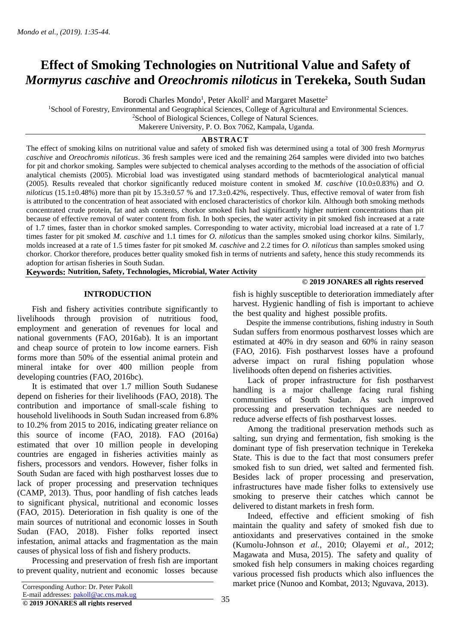# **Effect of Smoking Technologies on Nutritional Value and Safety of**  *Mormyrus caschive* **and** *Oreochromis niloticus* **in Terekeka, South Sudan**

Borodi Charles Mondo<sup>1</sup>, Peter Akoll<sup>2</sup> and Margaret Masette<sup>2</sup>

<sup>1</sup>School of Forestry, Environmental and Geographical Sciences, College of Agricultural and Environmental Sciences. <sup>2</sup>School of Biological Sciences, College of Natural Sciences.

Makerere University, P. O. Box 7062, Kampala, Uganda.

## **ABSTRACT**

The effect of smoking kilns on nutritional value and safety of smoked fish was determined using a total of 300 fresh *Mormyrus caschive* and *Oreochromis niloticus*. 36 fresh samples were iced and the remaining 264 samples were divided into two batches for pit and chorkor smoking. Samples were subjected to chemical analyses according to the methods of the association of official analytical chemists (2005). Microbial load was investigated using standard methods of bacmteriological analytical manual (2005). Results revealed that chorkor significantly reduced moisture content in smoked *M. caschive* (10.0±0.83%) and *O. niloticus* (15.1±0.48%) more than pit by 15.3±0.57 % and 17.3±0.42%, respectively. Thus, effective removal of water from fish is attributed to the concentration of heat associated with enclosed characteristics of chorkor kiln. Although both smoking methods concentrated crude protein, fat and ash contents, chorkor smoked fish had significantly higher nutrient concentrations than pit because of effective removal of water content from fish. In both species, the water activity in pit smoked fish increased at a rate of 1.7 times, faster than in chorkor smoked samples. Corresponding to water activity, microbial load increased at a rate of 1.7 times faster for pit smoked *M. caschive* and 1.1 times for *O. niloticus* than the samples smoked using chorkor kilns. Similarly, molds increased at a rate of 1.5 times faster for pit smoked *M. caschive* and 2.2 times for *O. niloticus* than samples smoked using chorkor. Chorkor therefore, produces better quality smoked fish in terms of nutrients and safety, hence this study recommends its adoption for artisan fisheries in South Sudan.

**Keywords: Nutrition, Safety, Technologies, Microbial, Water Activity**

## **INTRODUCTION**

 Fish and fishery activities contribute significantly to livelihoods through provision of nutritious food, employment and generation of revenues for local and national governments (FAO, 2016ab). It is an important and cheap source of protein to low income earners. Fish forms more than 50% of the essential animal protein and mineral intake for over 400 million people from developing countries (FAO, 2016bc).

 It is estimated that over 1.7 million South Sudanese depend on fisheries for their livelihoods (FAO, 2018). The contribution and importance of small-scale fishing to household livelihoods in South Sudan increased from 6.8% to 10.2% from 2015 to 2016, indicating greater reliance on this source of income (FAO, 2018). FAO (2016a) estimated that over 10 million people in developing countries are engaged in fisheries activities mainly as fishers, processors and vendors. However, fisher folks in South Sudan are faced with high postharvest losses due to lack of proper processing and preservation techniques (CAMP, 2013). Thus, poor handling of fish catches leads to significant physical, nutritional and economic losses (FAO, 2015). Deterioration in fish quality is one of the main sources of nutritional and economic losses in South Sudan (FAO, 2018). Fisher folks reported insect infestation, animal attacks and fragmentation as the main causes of physical loss of fish and fishery products.

Processing and preservation of fresh fish are important to prevent quality, nutrient and economic losses because fish is highly susceptible to deterioration immediately after harvest. Hygienic handling of fish is important to achieve the best quality and highest possible profits.

 Despite the immense contributions, fishing industry in South Sudan suffers from enormous postharvest losses which are estimated at 40% in dry season and 60% in rainy season (FAO, 2016). Fish postharvest losses have a profound adverse impact on rural fishing population whose livelihoods often depend on fisheries activities.

 Lack of proper infrastructure for fish postharvest handling is a major challenge facing rural fishing communities of South Sudan. As such improved processing and preservation techniques are needed to reduce adverse effects of fish postharvest losses.

 Among the traditional preservation methods such as salting, sun drying and fermentation, fish smoking is the dominant type of fish preservation technique in Terekeka State. This is due to the fact that most consumers prefer smoked fish to sun dried, wet salted and fermented fish. Besides lack of proper processing and preservation, infrastructures have made fisher folks to extensively use smoking to preserve their catches which cannot be delivered to distant markets in fresh form.

 Indeed, effective and efficient smoking of fish maintain the quality and safety of smoked fish due to antioxidants and preservatives contained in the smoke (Kumolu-Johnson *et al.*, 2010; Olayemi *et al.*, 2012; Magawata and Musa*,* 2015). The safety and quality of smoked fish help consumers in making choices regarding various processed fish products which also influences the market price (Nunoo and Kombat, 2013; Nguvava, 2013). Corresponding Author: Dr. Peter Pakoll

# **© 2019 JONARES all rights reserved**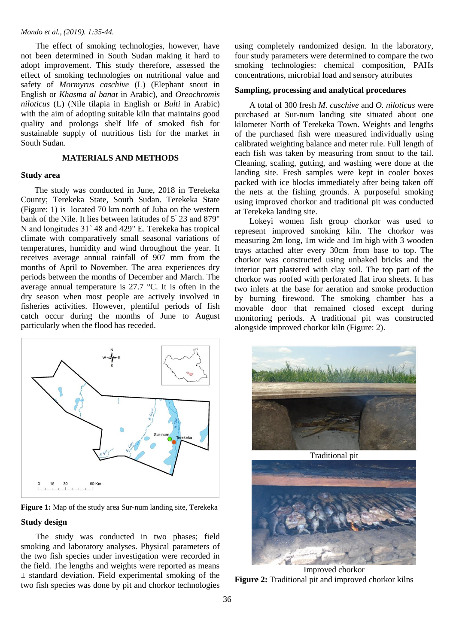The effect of smoking technologies, however, have not been determined in South Sudan making it hard to adopt improvement. This study therefore, assessed the effect of smoking technologies on nutritional value and safety of *Mormyrus caschive* (L) (Elephant snout in English or *Khasma al banat* in Arabic), and *Oreochromis niloticus* (L) (Nile tilapia in English or *Bulti* in Arabic) with the aim of adopting suitable kiln that maintains good quality and prolongs shelf life of smoked fish for sustainable supply of nutritious fish for the market in South Sudan.

## **MATERIALS AND METHODS**

#### **Study area**

The study was conducted in June, 2018 in Terekeka County; Terekeka State, South Sudan. Terekeka State (Figure: 1) is located 70 km north of Juba on the western bank of the Nile. It lies between latitudes of 5˚ 23 and 879" N and longitudes 31˚ 48 and 429" E. Terekeka has tropical climate with comparatively small seasonal variations of temperatures, humidity and wind throughout the year. It receives average annual rainfall of 907 mm from the months of April to November. The area experiences dry periods between the months of December and March. The average annual temperature is 27.7 °C. It is often in the dry season when most people are actively involved in fisheries activities. However, plentiful periods of fish catch occur during the months of June to August particularly when the flood has receded.



**Figure 1:** Map of the study area Sur-num landing site, Terekeka

# **Study design**

 The study was conducted in two phases; field smoking and laboratory analyses. Physical parameters of the two fish species under investigation were recorded in the field. The lengths and weights were reported as means  $±$  standard deviation. Field experimental smoking of the two fish species was done by pit and chorkor technologies

using completely randomized design. In the laboratory, four study parameters were determined to compare the two smoking technologies: chemical composition, PAHs concentrations, microbial load and sensory attributes

# **Sampling, processing and analytical procedures**

 A total of 300 fresh *M. caschive* and *O. niloticus* were purchased at Sur-num landing site situated about one kilometer North of Terekeka Town. Weights and lengths of the purchased fish were measured individually using calibrated weighting balance and meter rule. Full length of each fish was taken by measuring from snout to the tail. Cleaning, scaling, gutting, and washing were done at the landing site. Fresh samples were kept in cooler boxes packed with ice blocks immediately after being taken off the nets at the fishing grounds. A purposeful smoking using improved chorkor and traditional pit was conducted at Terekeka landing site.

 Lokeyi women fish group chorkor was used to represent improved smoking kiln. The chorkor was measuring 2m long, 1m wide and 1m high with 3 wooden trays attached after every 30cm from base to top. The chorkor was constructed using unbaked bricks and the interior part plastered with clay soil. The top part of the chorkor was roofed with perforated flat iron sheets. It has two inlets at the base for aeration and smoke production by burning firewood. The smoking chamber has a movable door that remained closed except during monitoring periods. A traditional pit was constructed alongside improved chorkor kiln (Figure: 2).



Traditional pit



Improved chorkor **Figure 2:** Traditional pit and improved chorkor kilns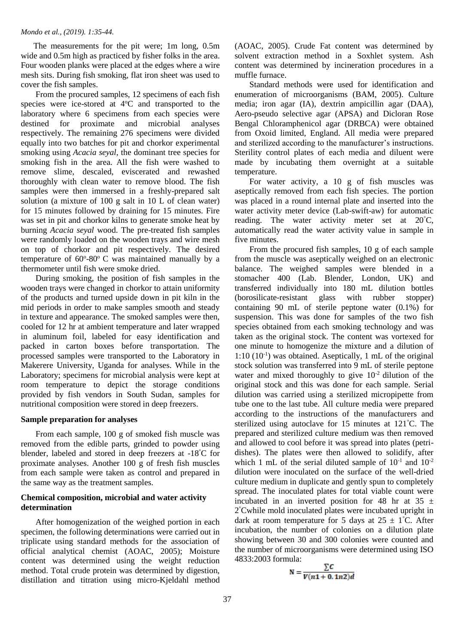The measurements for the pit were; 1m long, 0.5m wide and 0.5m high as practiced by fisher folks in the area. Four wooden planks were placed at the edges where a wire mesh sits. During fish smoking, flat iron sheet was used to cover the fish samples.

 From the procured samples, 12 specimens of each fish species were ice-stored at 4°C and transported to the laboratory where 6 specimens from each species were destined for proximate and microbial analyses respectively. The remaining 276 specimens were divided equally into two batches for pit and chorkor experimental smoking using *Acacia seyal,* the dominant tree species for smoking fish in the area. All the fish were washed to remove slime, descaled, eviscerated and rewashed thoroughly with clean water to remove blood. The fish samples were then immersed in a freshly-prepared salt solution (a mixture of 100 g salt in 10 L of clean water) for 15 minutes followed by draining for 15 minutes. Fire was set in pit and chorkor kilns to generate smoke heat by burning *Acacia seyal* wood. The pre-treated fish samples were randomly loaded on the wooden trays and wire mesh on top of chorkor and pit respectively. The desired temperature of  $60^{\circ}$ -80 $^{\circ}$  C was maintained manually by a thermometer until fish were smoke dried.

 During smoking, the position of fish samples in the wooden trays were changed in chorkor to attain uniformity of the products and turned upside down in pit kiln in the mid periods in order to make samples smooth and steady in texture and appearance. The smoked samples were then, cooled for 12 hr at ambient temperature and later wrapped in aluminum foil, labeled for easy identification and packed in carton boxes before transportation. The processed samples were transported to the Laboratory in Makerere University, Uganda for analyses. While in the Laboratory; specimens for microbial analysis were kept at room temperature to depict the storage conditions provided by fish vendors in South Sudan, samples for nutritional composition were stored in deep freezers.

## **Sample preparation for analyses**

 From each sample, 100 g of smoked fish muscle was removed from the edible parts, grinded to powder using blender, labeled and stored in deep freezers at -18°C for proximate analyses. Another 100 g of fresh fish muscles from each sample were taken as control and prepared in the same way as the treatment samples.

## **Chemical composition, microbial and water activity determination**

 After homogenization of the weighed portion in each specimen, the following determinations were carried out in triplicate using standard methods for the association of official analytical chemist (AOAC, 2005); Moisture content was determined using the weight reduction method. Total crude protein was determined by digestion, distillation and titration using micro-Kjeldahl method

(AOAC, 2005). Crude Fat content was determined by solvent extraction method in a Soxhlet system. Ash content was determined by incineration procedures in a muffle furnace.

 Standard methods were used for identification and enumeration of microorganisms (BAM, 2005). Culture media; iron agar (IA), dextrin ampicillin agar (DAA), Aero-pseudo selective agar (APSA) and Dicloran Rose Bengal Chloramphenicol agar (DRBCA) were obtained from Oxoid limited, England. All media were prepared and sterilized according to the manufacturer's instructions. Sterility control plates of each media and diluent were made by incubating them overnight at a suitable temperature.

 For water activity, a 10 g of fish muscles was aseptically removed from each fish species. The portion was placed in a round internal plate and inserted into the water activity meter device (Lab-swift-aw) for automatic reading. The water activity meter set at 20°C, automatically read the water activity value in sample in five minutes.

 From the procured fish samples, 10 g of each sample from the muscle was aseptically weighed on an electronic balance. The weighed samples were blended in a stomacher 400 (Lab. Blender, London, UK) and transferred individually into 180 mL dilution bottles (borosilicate-resistant glass with rubber stopper) containing 90 mL of sterile peptone water (0.1%) for suspension. This was done for samples of the two fish species obtained from each smoking technology and was taken as the original stock. The content was vortexed for one minute to homogenize the mixture and a dilution of 1:10 (10-1 ) was obtained. Aseptically, 1 mL of the original stock solution was transferred into 9 mL of sterile peptone water and mixed thoroughly to give  $10^{-2}$  dilution of the original stock and this was done for each sample. Serial dilution was carried using a sterilized micropipette from tube one to the last tube. All culture media were prepared according to the instructions of the manufacturers and sterilized using autoclave for 15 minutes at 121°C. The prepared and sterilized culture medium was then removed and allowed to cool before it was spread into plates (petridishes). The plates were then allowed to solidify, after which 1 mL of the serial diluted sample of  $10^{-1}$  and  $10^{-2}$ dilution were inoculated on the surface of the well-dried culture medium in duplicate and gently spun to completely spread. The inoculated plates for total viable count were incubated in an inverted position for 48 hr at  $35 \pm$ 2 °Cwhile mold inoculated plates were incubated upright in dark at room temperature for 5 days at  $25 \pm 1^{\circ}$ C. After incubation, the number of colonies on a dilution plate showing between 30 and 300 colonies were counted and the number of microorganisms were determined using ISO 4833:2003 formula:

$$
N = \frac{\sum C}{V(n1 + 0.1n2)d}
$$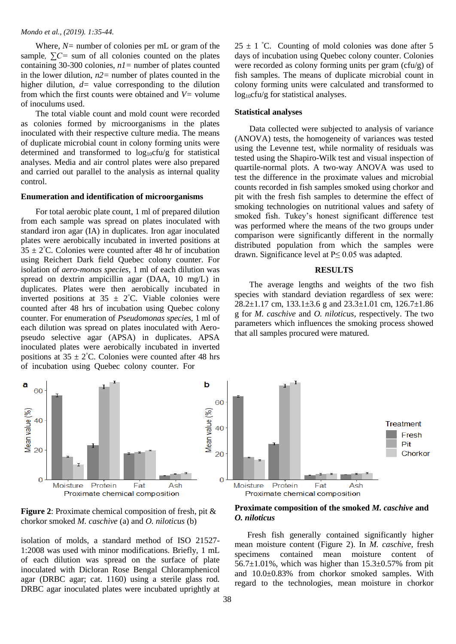Where,  $N=$  number of colonies per mL or gram of the sample*, ∑C=* sum of all colonies counted on the plates containing 30-300 colonies, *n1=* number of plates counted in the lower dilution, *n2=* number of plates counted in the higher dilution,  $d=$  value corresponding to the dilution from which the first counts were obtained and  $V=$  volume of inoculums used.

 The total viable count and mold count were recorded as colonies formed by microorganisms in the plates inoculated with their respective culture media. The means of duplicate microbial count in colony forming units were determined and transformed to  $log_{10}$ cfu/g for statistical analyses. Media and air control plates were also prepared and carried out parallel to the analysis as internal quality control.

## **Enumeration and identification of microorganisms**

 For total aerobic plate count, 1 ml of prepared dilution from each sample was spread on plates inoculated with standard iron agar (IA) in duplicates. Iron agar inoculated plates were aerobically incubated in inverted positions at  $35 \pm 2^{\circ}$ C. Colonies were counted after 48 hr of incubation using Reichert Dark field Quebec colony counter. For isolation of *aero-monas species*, 1 ml of each dilution was spread on dextrin ampicillin agar (DAA, 10 mg/L) in duplicates. Plates were then aerobically incubated in inverted positions at  $35 \pm 2^{\circ}$ C. Viable colonies were counted after 48 hrs of incubation using Quebec colony counter. For enumeration of *Pseudomonas species,* 1 ml of each dilution was spread on plates inoculated with Aeropseudo selective agar (APSA) in duplicates. APSA inoculated plates were aerobically incubated in inverted positions at  $35 \pm 2^{\circ}$ C. Colonies were counted after 48 hrs of incubation using Quebec colony counter. For

 $25 \pm 1$  °C. Counting of mold colonies was done after 5 days of incubation using Quebec colony counter. Colonies were recorded as colony forming units per gram (cfu/g) of fish samples. The means of duplicate microbial count in colony forming units were calculated and transformed to  $log_{10}$ cfu/g for statistical analyses.

## **Statistical analyses**

 Data collected were subjected to analysis of variance (ANOVA) tests, the homogeneity of variances was tested using the Levenne test, while normality of residuals was tested using the Shapiro-Wilk test and visual inspection of quartile-normal plots. A two-way ANOVA was used to test the difference in the proximate values and microbial counts recorded in fish samples smoked using chorkor and pit with the fresh fish samples to determine the effect of smoking technologies on nutritional values and safety of smoked fish. Tukey's honest significant difference test was performed where the means of the two groups under comparison were significantly different in the normally distributed population from which the samples were drawn. Significance level at  $P \le 0.05$  was adapted.

### **RESULTS**

 The average lengths and weights of the two fish species with standard deviation regardless of sex were: 28.2±1.17 cm, 133.1±3.6 g and 23.3±1.01 cm, 126.7±1.86 g for *M. caschive* and *O. niloticus,* respectively. The two parameters which influences the smoking process showed that all samples procured were matured*.*



**Figure 2**: Proximate chemical composition of fresh, pit & chorkor smoked *M. caschive* (a) and *O. niloticus* (b)

isolation of molds, a standard method of ISO 21527- 1:2008 was used with minor modifications. Briefly, 1 mL of each dilution was spread on the surface of plate inoculated with Dicloran Rose Bengal Chloramphenicol agar (DRBC agar; cat. 1160) using a sterile glass rod. DRBC agar inoculated plates were incubated uprightly at



 Fresh fish generally contained significantly higher mean moisture content (Figure 2). In *M. caschive,* fresh specimens contained mean moisture content of 56.7 $\pm$ 1.01%, which was higher than 15.3 $\pm$ 0.57% from pit and 10.0±0.83% from chorkor smoked samples. With regard to the technologies, mean moisture in chorkor

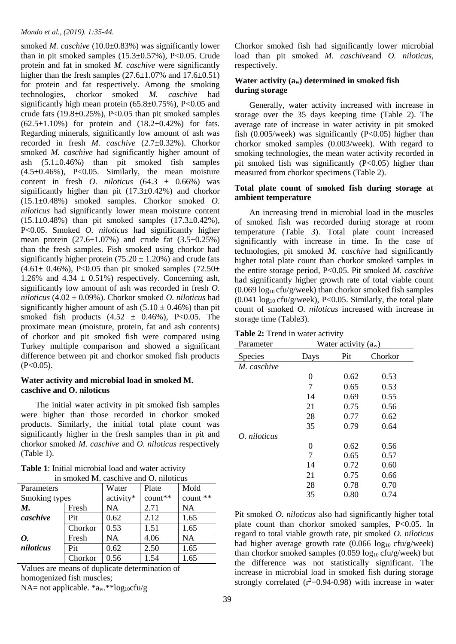smoked *M. caschive* (10.0±0.83%) was significantly lower than in pit smoked samples  $(15.3\pm0.57\%)$ , P<0.05. Crude protein and fat in smoked *M. caschive* were significantly higher than the fresh samples  $(27.6\pm1.07\%$  and  $17.6\pm0.51)$ for protein and fat respectively. Among the smoking technologies, chorkor smoked *M. caschive* had significantly high mean protein  $(65.8\pm0.75\%)$ , P<0.05 and crude fats  $(19.8\pm0.25\%)$ , P<0.05 than pit smoked samples  $(62.5\pm1.10\%)$  for protein and  $(18.2\pm0.42\%)$  for fats. Regarding minerals, significantly low amount of ash was recorded in fresh *M. caschive* (2.7±0.32%). Chorkor smoked *M. caschive* had significantly higher amount of ash  $(5.1\pm0.46\%)$  than pit smoked fish samples  $(4.5\pm0.46\%)$ , P<0.05. Similarly, the mean moisture content in fresh *O. niloticus* (64.3 ± 0.66%) was significantly higher than pit  $(17.3\pm0.42\%)$  and chorkor (15.1±0.48%) smoked samples. Chorkor smoked *O. niloticus* had significantly lower mean moisture content  $(15.1\pm0.48\%)$  than pit smoked samples  $(17.3\pm0.42\%)$ , P<0.05. Smoked *O. niloticus* had significantly higher mean protein  $(27.6 \pm 1.07\%)$  and crude fat  $(3.5 \pm 0.25\%)$ than the fresh samples. Fish smoked using chorkor had significantly higher protein  $(75.20 \pm 1.20\%)$  and crude fats  $(4.61 \pm 0.46\%)$ , P<0.05 than pit smoked samples  $(72.50 \pm 0.46\%)$ 1.26% and 4.34  $\pm$  0.51%) respectively. Concerning ash, significantly low amount of ash was recorded in fresh *O. niloticus* (4.02 ± 0.09%). Chorkor smoked *O. niloticus* had significantly higher amount of ash  $(5.10 \pm 0.46\%)$  than pit smoked fish products  $(4.52 \pm 0.46\%)$ , P<0.05. The proximate mean (moisture, protein, fat and ash contents) of chorkor and pit smoked fish were compared using Turkey multiple comparison and showed a significant difference between pit and chorkor smoked fish products  $(P<0.05)$ .

## **Water activity and microbial load in smoked M. caschive and O. niloticus**

 The initial water activity in pit smoked fish samples were higher than those recorded in chorkor smoked products. Similarly, the initial total plate count was significantly higher in the fresh samples than in pit and chorkor smoked *M. caschive* and *O. niloticus* respectively (Table 1).

| Parameters    |         | Water     | Plate   | Mold      |  |
|---------------|---------|-----------|---------|-----------|--|
| Smoking types |         | activity* | count** | count **  |  |
| M.            | Fresh   | <b>NA</b> | 2.71    | NA        |  |
| caschive      | Pit     | 0.62      | 2.12    | 1.65      |  |
|               | Chorkor | 0.53      | 1.51    | 1.65      |  |
| 0.            | Fresh   | <b>NA</b> | 4.06    | <b>NA</b> |  |
| niloticus     | Pit     | 0.62      | 2.50    | 1.65      |  |
|               | Chorkor | 0.56      | 1.54    | 1.65      |  |

**Table 1**: Initial microbial load and water activity in smoked M. caschive and O. niloticus

Values are means of duplicate determination of homogenized fish muscles;

NA= not applicable.  $a_w.**log_{10}ctu/g$ 

Chorkor smoked fish had significantly lower microbial load than pit smoked *M. caschive*and *O. niloticus,*  respectively.

## **Water activity (aw) determined in smoked fish during storage**

 Generally, water activity increased with increase in storage over the 35 days keeping time (Table 2). The average rate of increase in water activity in pit smoked fish  $(0.005/\text{week})$  was significantly  $(P<0.05)$  higher than chorkor smoked samples (0.003/week). With regard to smoking technologies, the mean water activity recorded in pit smoked fish was significantly  $(P<0.05)$  higher than measured from chorkor specimens (Table 2).

## **Total plate count of smoked fish during storage at ambient temperature**

 An increasing trend in microbial load in the muscles of smoked fish was recorded during storage at room temperature (Table 3). Total plate count increased significantly with increase in time. In the case of technologies, pit smoked *M. caschive* had significantly higher total plate count than chorkor smoked samples in the entire storage period, P<0.05. Pit smoked *M. caschive*  had significantly higher growth rate of total viable count  $(0.069 \log_{10} c \text{fu/g/week})$  than chorkor smoked fish samples  $(0.041 \log_{10} c \text{fu/g/week})$ , P<0.05. Similarly, the total plate count of smoked *O. niloticus* increased with increase in storage time (Table3).

| <b>Table 2:</b> Trend in water activity |  |
|-----------------------------------------|--|
|-----------------------------------------|--|

| Parameter      | Water activity $(a_w)$ |      |         |
|----------------|------------------------|------|---------|
| <b>Species</b> | Days                   | Pit  | Chorkor |
| M. caschive    |                        |      |         |
|                | 0                      | 0.62 | 0.53    |
|                | 7                      | 0.65 | 0.53    |
|                | 14                     | 0.69 | 0.55    |
|                | 21                     | 0.75 | 0.56    |
|                | 28                     | 0.77 | 0.62    |
|                | 35                     | 0.79 | 0.64    |
| $O.$ niloticus |                        |      |         |
|                | 0                      | 0.62 | 0.56    |
|                | 7                      | 0.65 | 0.57    |
|                | 14                     | 0.72 | 0.60    |
|                | 21                     | 0.75 | 0.66    |
|                | 28                     | 0.78 | 0.70    |
|                | 35                     | 0.80 | 0.74    |

Pit smoked *O. niloticus* also had significantly higher total plate count than chorkor smoked samples, P<0.05*.* In regard to total viable growth rate, pit smoked *O. niloticus* had higher average growth rate  $(0.066 \log_{10} c \text{fu/g/week})$ than chorkor smoked samples (0.059  $log_{10}$  cfu/g/week) but the difference was not statistically significant. The increase in microbial load in smoked fish during storage strongly correlated  $(r^2=0.94-0.98)$  with increase in water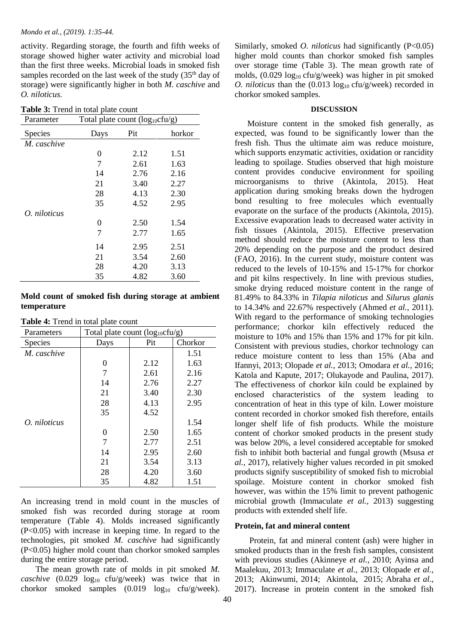activity. Regarding storage, the fourth and fifth weeks of storage showed higher water activity and microbial load than the first three weeks. Microbial loads in smoked fish samples recorded on the last week of the study (35<sup>th</sup> day of storage) were significantly higher in both *M. caschive* and *O. niloticus.*

| Table 3: Trend in total plate count |  |  |  |  |  |
|-------------------------------------|--|--|--|--|--|
|-------------------------------------|--|--|--|--|--|

| Parameter    | Total plate count $(log_{10}ctu/g)$ |      |        |  |
|--------------|-------------------------------------|------|--------|--|
| Species      | Days                                | Pit  | horkor |  |
| M. caschive  |                                     |      |        |  |
|              | 0                                   | 2.12 | 1.51   |  |
|              | 7                                   | 2.61 | 1.63   |  |
|              | 14                                  | 2.76 | 2.16   |  |
|              | 21                                  | 3.40 | 2.27   |  |
|              | 28                                  | 4.13 | 2.30   |  |
|              | 35                                  | 4.52 | 2.95   |  |
| O. niloticus |                                     |      |        |  |
|              | 0                                   | 2.50 | 1.54   |  |
|              | 7                                   | 2.77 | 1.65   |  |
|              | 14                                  | 2.95 | 2.51   |  |
|              | 21                                  | 3.54 | 2.60   |  |
|              | 28                                  | 4.20 | 3.13   |  |
|              | 35                                  | 4.82 | 3.60   |  |

## **Mold count of smoked fish during storage at ambient temperature**

**Table 4:** Trend in total plate count

| Parameters     | Total plate count $(log_{10}cfu/g)$ |      |         |  |
|----------------|-------------------------------------|------|---------|--|
| <b>Species</b> | Days                                | Pit  | Chorkor |  |
| M. caschive    |                                     |      | 1.51    |  |
|                | $\Omega$                            | 2.12 | 1.63    |  |
|                | 7                                   | 2.61 | 2.16    |  |
|                | 14                                  | 2.76 | 2.27    |  |
|                | 21                                  | 3.40 | 2.30    |  |
|                | 28                                  | 4.13 | 2.95    |  |
|                | 35                                  | 4.52 |         |  |
| O. niloticus   |                                     |      | 1.54    |  |
|                | $\Omega$                            | 2.50 | 1.65    |  |
|                | 7                                   | 2.77 | 2.51    |  |
|                | 14                                  | 2.95 | 2.60    |  |
|                | 21                                  | 3.54 | 3.13    |  |
|                | 28                                  | 4.20 | 3.60    |  |
|                | 35                                  | 4.82 | 1.51    |  |

An increasing trend in mold count in the muscles of smoked fish was recorded during storage at room temperature (Table 4). Molds increased significantly (P<0.05) with increase in keeping time. In regard to the technologies, pit smoked *M. caschive* had significantly (P<0.05) higher mold count than chorkor smoked samples during the entire storage period.

 The mean growth rate of molds in pit smoked *M. caschive* (0.029 log<sub>10</sub> cfu/g/week) was twice that in chorkor smoked samples  $(0.019 \text{ log}_{10} \text{ cfu/g/week}).$  Similarly, smoked *O. niloticus* had significantly (P<0.05) higher mold counts than chorkor smoked fish samples over storage time (Table 3). The mean growth rate of molds,  $(0.029 \log_{10} c \text{fu/g/week})$  was higher in pit smoked *O. niloticus* than the  $(0.013 \log_{10} c \text{fu/g/week})$  recorded in chorkor smoked samples.

#### **DISCUSSION**

 Moisture content in the smoked fish generally, as expected, was found to be significantly lower than the fresh fish. Thus the ultimate aim was reduce moisture, which supports enzymatic activities, oxidation or rancidity leading to spoilage. Studies observed that high moisture content provides conducive environment for spoiling microorganisms to thrive (Akintola, 2015). Heat application during smoking breaks down the hydrogen bond resulting to free molecules which eventually evaporate on the surface of the products (Akintola, 2015). Excessive evaporation leads to decreased water activity in fish tissues (Akintola, 2015). Effective preservation method should reduce the moisture content to less than 20% depending on the purpose and the product desired (FAO, 2016). In the current study, moisture content was reduced to the levels of 10-15% and 15-17% for chorkor and pit kilns respectively. In line with previous studies, smoke drying reduced moisture content in the range of 81.49% to 84.33% in *Tilapia niloticus* and *Silurus glanis* to 14.34% and 22.67% respectively (Ahmed *et al.*, 2011). With regard to the performance of smoking technologies performance; chorkor kiln effectively reduced the moisture to 10% and 15% than 15% and 17% for pit kiln. Consistent with previous studies, chorkor technology can reduce moisture content to less than 15% (Aba and Ifannyi, 2013; Olopade *et al.,* 2013; Omodara *et al.,* 2016; Katola and Kapute, 2017; Olukayode and Paulina, 2017). The effectiveness of chorkor kiln could be explained by enclosed characteristics of the system leading to concentration of heat in this type of kiln. Lower moisture content recorded in chorkor smoked fish therefore, entails longer shelf life of fish products. While the moisture content of chorkor smoked products in the present study was below 20%, a level considered acceptable for smoked fish to inhibit both bacterial and fungal growth (Msusa *et al.,* 2017), relatively higher values recorded in pit smoked products signify susceptibility of smoked fish to microbial spoilage. Moisture content in chorkor smoked fish however, was within the 15% limit to prevent pathogenic microbial growth (Immaculate *et al.,* 2013) suggesting products with extended shelf life.

#### **Protein, fat and mineral content**

 Protein, fat and mineral content (ash) were higher in smoked products than in the fresh fish samples, consistent with previous studies (Akinneye *et al.,* 2010; Ayinsa and Maalekuu, 2013; Immaculate *et al.,* 2013; Olopade *et al.*, 2013; Akinwumi, 2014; Akintola, 2015; Abraha *et al*., 2017). Increase in protein content in the smoked fish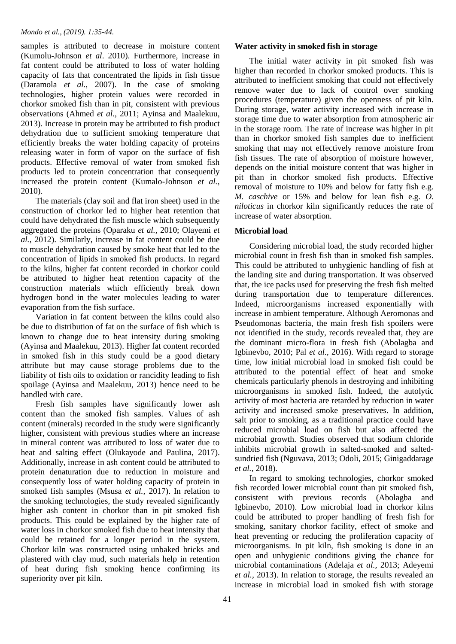samples is attributed to decrease in moisture content (Kumolu-Johnson *et al*. 2010). Furthermore, increase in fat content could be attributed to loss of water holding capacity of fats that concentrated the lipids in fish tissue (Daramola *et al.,* 2007). In the case of smoking technologies, higher protein values were recorded in chorkor smoked fish than in pit, consistent with previous observations (Ahmed *et al.,* 2011; Ayinsa and Maalekuu, 2013). Increase in protein may be attributed to fish product dehydration due to sufficient smoking temperature that efficiently breaks the water holding capacity of proteins releasing water in form of vapor on the surface of fish products. Effective removal of water from smoked fish products led to protein concentration that consequently increased the protein content (Kumalo-Johnson *et al.,* 2010).

 The materials (clay soil and flat iron sheet) used in the construction of chorkor led to higher heat retention that could have dehydrated the fish muscle which subsequently aggregated the proteins (Oparaku *et al.,* 2010; Olayemi *et al.,* 2012). Similarly, increase in fat content could be due to muscle dehydration caused by smoke heat that led to the concentration of lipids in smoked fish products. In regard to the kilns, higher fat content recorded in chorkor could be attributed to higher heat retention capacity of the construction materials which efficiently break down hydrogen bond in the water molecules leading to water evaporation from the fish surface.

 Variation in fat content between the kilns could also be due to distribution of fat on the surface of fish which is known to change due to heat intensity during smoking (Ayinsa and Maalekuu, 2013). Higher fat content recorded in smoked fish in this study could be a good dietary attribute but may cause storage problems due to the liability of fish oils to oxidation or rancidity leading to fish spoilage (Ayinsa and Maalekuu, 2013) hence need to be handled with care.

 Fresh fish samples have significantly lower ash content than the smoked fish samples. Values of ash content (minerals) recorded in the study were significantly higher, consistent with previous studies where an increase in mineral content was attributed to loss of water due to heat and salting effect (Olukayode and Paulina, 2017). Additionally, increase in ash content could be attributed to protein denaturation due to reduction in moisture and consequently loss of water holding capacity of protein in smoked fish samples (Msusa *et al.,* 2017). In relation to the smoking technologies, the study revealed significantly higher ash content in chorkor than in pit smoked fish products. This could be explained by the higher rate of water loss in chorkor smoked fish due to heat intensity that could be retained for a longer period in the system. Chorkor kiln was constructed using unbaked bricks and plastered with clay mud, such materials help in retention of heat during fish smoking hence confirming its superiority over pit kiln.

## **Water activity in smoked fish in storage**

 The initial water activity in pit smoked fish was higher than recorded in chorkor smoked products. This is attributed to inefficient smoking that could not effectively remove water due to lack of control over smoking procedures (temperature) given the openness of pit kiln. During storage, water activity increased with increase in storage time due to water absorption from atmospheric air in the storage room. The rate of increase was higher in pit than in chorkor smoked fish samples due to inefficient smoking that may not effectively remove moisture from fish tissues. The rate of absorption of moisture however, depends on the initial moisture content that was higher in pit than in chorkor smoked fish products. Effective removal of moisture to 10% and below for fatty fish e.g. *M. caschive* or 15% and below for lean fish e.g. *O. niloticus* in chorkor kiln significantly reduces the rate of increase of water absorption.

## **Microbial load**

 Considering microbial load, the study recorded higher microbial count in fresh fish than in smoked fish samples. This could be attributed to unhygienic handling of fish at the landing site and during transportation. It was observed that, the ice packs used for preserving the fresh fish melted during transportation due to temperature differences. Indeed, microorganisms increased exponentially with increase in ambient temperature. Although Aeromonas and Pseudomonas bacteria, the main fresh fish spoilers were not identified in the study, records revealed that, they are the dominant micro-flora in fresh fish (Abolagba and Igbinevbo, 2010; Pal *et al.,* 2016). With regard to storage time, low initial microbial load in smoked fish could be attributed to the potential effect of heat and smoke chemicals particularly phenols in destroying and inhibiting microorganisms in smoked fish. Indeed, the autolytic activity of most bacteria are retarded by reduction in water activity and increased smoke preservatives. In addition, salt prior to smoking, as a traditional practice could have reduced microbial load on fish but also affected the microbial growth. Studies observed that sodium chloride inhibits microbial growth in salted-smoked and saltedsundried fish (Nguvava, 2013; Odoli, 2015; Ginigaddarage *et al.,* 2018).

 In regard to smoking technologies, chorkor smoked fish recorded lower microbial count than pit smoked fish, consistent with previous records (Abolagba and Igbinevbo, 2010). Low microbial load in chorkor kilns could be attributed to proper handling of fresh fish for smoking, sanitary chorkor facility, effect of smoke and heat preventing or reducing the proliferation capacity of microorganisms. In pit kiln, fish smoking is done in an open and unhygienic conditions giving the chance for microbial contaminations (Adelaja *et al.,* 2013; Adeyemi *et al.,* 2013). In relation to storage, the results revealed an increase in microbial load in smoked fish with storage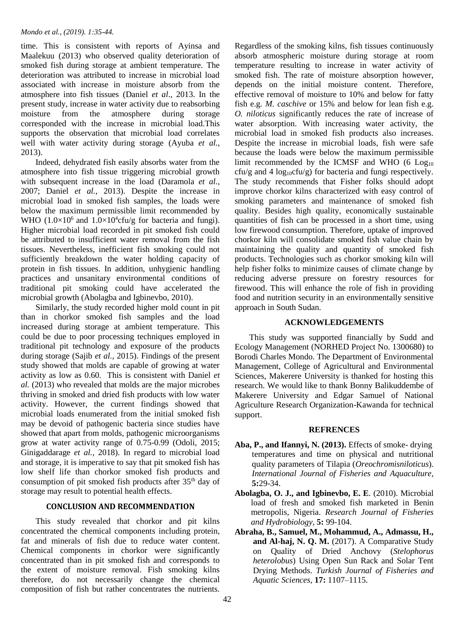time. This is consistent with reports of Ayinsa and Maalekuu (2013) who observed quality deterioration of smoked fish during storage at ambient temperature. The deterioration was attributed to increase in microbial load associated with increase in moisture absorb from the atmosphere into fish tissues (Daniel *et al*., 2013. In the present study, increase in water activity due to reabsorbing moisture from the atmosphere during storage corresponded with the increase in microbial load.This supports the observation that microbial load correlates well with water activity during storage (Ayuba *et al.*, 2013).

 Indeed, dehydrated fish easily absorbs water from the atmosphere into fish tissue triggering microbial growth with subsequent increase in the load (Daramola *et al.,*  2007; Daniel *et al.,* 2013). Despite the increase in microbial load in smoked fish samples, the loads were below the maximum permissible limit recommended by WHO  $(1.0\times10^6$  and  $1.0\times10^4$ cfu/g for bacteria and fungi). Higher microbial load recorded in pit smoked fish could be attributed to insufficient water removal from the fish tissues. Nevertheless, inefficient fish smoking could not sufficiently breakdown the water holding capacity of protein in fish tissues. In addition, unhygienic handling practices and unsanitary environmental conditions of traditional pit smoking could have accelerated the microbial growth (Abolagba and Igbinevbo, 2010).

 Similarly, the study recorded higher mold count in pit than in chorkor smoked fish samples and the load increased during storage at ambient temperature. This could be due to poor processing techniques employed in traditional pit technology and exposure of the products during storage (Sajib *et al.,* 2015). Findings of the present study showed that molds are capable of growing at water activity as low as 0.60. This is consistent with Daniel *et al.* (2013) who revealed that molds are the major microbes thriving in smoked and dried fish products with low water activity. However, the current findings showed that microbial loads enumerated from the initial smoked fish may be devoid of pathogenic bacteria since studies have showed that apart from molds, pathogenic microorganisms grow at water activity range of 0.75-0.99 (Odoli, 2015; Ginigaddarage *et al.,* 2018). In regard to microbial load and storage, it is imperative to say that pit smoked fish has low shelf life than chorkor smoked fish products and consumption of pit smoked fish products after 35<sup>th</sup> day of storage may result to potential health effects.

## **CONCLUSION AND RECOMMENDATION**

 This study revealed that chorkor and pit kilns concentrated the chemical components including protein, fat and minerals of fish due to reduce water content. Chemical components in chorkor were significantly concentrated than in pit smoked fish and corresponds to the extent of moisture removal. Fish smoking kilns therefore, do not necessarily change the chemical composition of fish but rather concentrates the nutrients.

Regardless of the smoking kilns, fish tissues continuously absorb atmospheric moisture during storage at room temperature resulting to increase in water activity of smoked fish. The rate of moisture absorption however, depends on the initial moisture content. Therefore, effective removal of moisture to 10% and below for fatty fish e.g. *M. caschive* or 15% and below for lean fish e.g. *O. niloticus* significantly reduces the rate of increase of water absorption. With increasing water activity, the microbial load in smoked fish products also increases. Despite the increase in microbial loads, fish were safe because the loads were below the maximum permissible limit recommended by the ICMSF and WHO (6  $Log<sub>10</sub>$ cfu/g and 4  $log_{10}$ cfu/g) for bacteria and fungi respectively. The study recommends that Fisher folks should adopt improve chorkor kilns characterized with easy control of smoking parameters and maintenance of smoked fish quality. Besides high quality, economically sustainable quantities of fish can be processed in a short time, using low firewood consumption. Therefore, uptake of improved chorkor kiln will consolidate smoked fish value chain by maintaining the quality and quantity of smoked fish products. Technologies such as chorkor smoking kiln will help fisher folks to minimize causes of climate change by reducing adverse pressure on forestry resources for firewood. This will enhance the role of fish in providing food and nutrition security in an environmentally sensitive approach in South Sudan.

# **ACKNOWLEDGEMENTS**

 This study was supported financially by Sudd and Ecology Management (NORHED Project No. 1300680) to Borodi Charles Mondo. The Department of Environmental Management, College of Agricultural and Environmental Sciences, Makerere University is thanked for hosting this research. We would like to thank Bonny Balikuddembe of Makerere University and Edgar Samuel of National Agriculture Research Organization-Kawanda for technical support.

## **REFRENCES**

- **Aba, P., and Ifannyi, N. (2013).** Effects of smoke- drying temperatures and time on physical and nutritional quality parameters of Tilapia (*Oreochromisniloticus*). *International Journal of Fisheries and Aquaculture,* **5:**29-34.
- **Abolagba, O. J., and Igbinevbo, E. E**. (2010). Microbial load of fresh and smoked fish marketed in Benin metropolis, Nigeria. *Research Journal of Fisheries and Hydrobiology,* **5:** 99-104.
- **Abraha, B., Samuel, M., Mohammud, A., Admassu, H., and Al-haj, N. Q. M.** (2017). A Comparative Study on Quality of Dried Anchovy (*Stelophorus heterolobus*) Using Open Sun Rack and Solar Tent Drying Methods. *Turkish Journal of Fisheries and Aquatic Sciences,* **17:** 1107–1115.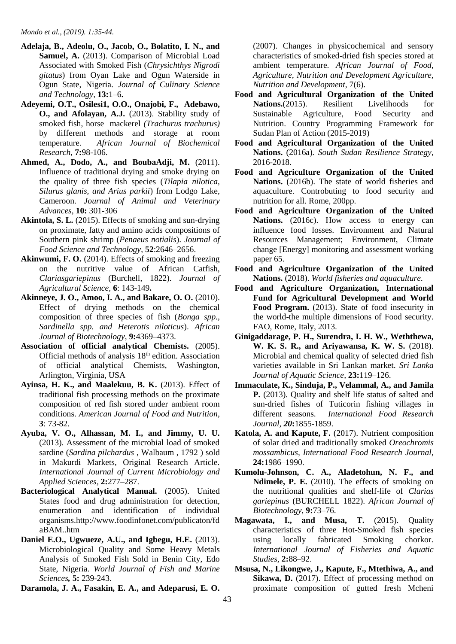- **Adelaja, B., Adeolu, O., Jacob, O., Bolatito, I. N., and**  Samuel, A. (2013). Comparison of Microbial Load Associated with Smoked Fish (*Chrysichthys Nigrodi gitatus*) from Oyan Lake and Ogun Waterside in Ogun State, Nigeria. *Journal of Culinary Science and Technology,* **13:**1–6**.**
- **Adeyemi, O.T., Osilesi1, O.O., Onajobi, F., Adebawo, O., and Afolayan, A.J.** (2013). Stability study of smoked fish, horse mackerel *(Trachurus trachurus)* by different methods and storage at room temperature. *African Journal of Biochemical Research,* **7:**98-106.
- **Ahmed, A., Dodo, A., and BoubaAdji, M.** (2011). Influence of traditional drying and smoke drying on the quality of three fish species (*Tilapia nilotica, Silurus glanis, and Arius parkii*) from Lodgo Lake, Cameroon. *Journal of Animal and Veterinary Advances,* **10:** 301-306
- Akintola, S. L. (2015). Effects of smoking and sun-drying on proximate, fatty and amino acids compositions of Southern pink shrimp (*Penaeus notialis*). *Journal of Food Science and Technology*, **52**:2646–2656.
- Akinwumi, F. O. (2014). Effects of smoking and freezing on the nutritive value of African Catfish, *Clariasgariepinus* (Burchell, 1822). *Journal of Agricultural Science,* **6**: 143-149**.**
- **Akinneye, J. O., Amoo, I. A., and Bakare, O. O.** (2010). Effect of drying methods on the chemical composition of three species of fish (*Bonga spp., Sardinella spp. and Heterotis niloticus*). *African Journal of Biotechnology,* **9:**4369–4373.
- **Association of official analytical Chemists.** (2005). Official methods of analysis 18th edition. Association of official analytical Chemists, Washington, Arlington, Virginia, USA
- Ayinsa, H. K., and Maalekuu, B. K. (2013). Effect of traditional fish processing methods on the proximate composition of red fish stored under ambient room conditions. *American Journal of Food and Nutrition,* **3**: 73-82.
- **Ayuba, V. O., Alhassan, M. I., and Jimmy, U. U.**  (2013). Assessment of the microbial load of smoked sardine (*Sardina pilchardus* , Walbaum , 1792 ) sold in Makurdi Markets, Original Research Article. *International Journal of Current Microbiology and Applied Sciences,* **2:**277–287.
- **Bacteriological Analytical Manual.** (2005). United States food and drug administration for detection, enumeration and identification of individual organisms.http://www.foodinfonet.com/publicaton/fd aBAM..htm
- **Daniel E.O., Ugwueze, A.U., and Igbegu, H.E.** (2013). Microbiological Quality and Some Heavy Metals Analysis of Smoked Fish Sold in Benin City, Edo State, Nigeria. *World Journal of Fish and Marine Sciences,* **5:** 239-243.

**Daramola, J. A., Fasakin, E. A., and Adeparusi, E. O.** 

(2007). Changes in physicochemical and sensory characteristics of smoked-dried fish species stored at ambient temperature. *African Journal of Food, Agriculture, Nutrition and Development Agriculture, Nutrition and Development*, 7(6).

- **Food and Agricultural Organization of the United Nations.**(2015). Resilient Livelihoods for Sustainable Agriculture, Food Security and Nutrition. Country Programming Framework for Sudan Plan of Action (2015-2019)
- **Food and Agricultural Organization of the United Nations.** (2016a)*. South Sudan Resilience Strategy*, 2016-2018.
- **Food and Agriculture Organization of the United Nations.** (2016b). The state of world fisheries and aquaculture. Controbuting to food security and nutrition for all. Rome, 200pp.
- **Food and Agriculture Organization of the United**  Nations. (2016c). How access to energy can influence food losses. Environment and Natural Resources Management; Environment, Climate change [Energy] monitoring and assessment working paper 65.
- **Food and Agriculture Organization of the United Nations.** (2018). *World fisheries and aquaculture*.
- **Food and Agriculture Organization, International Fund for Agricultural Development and World**  Food Program. (2013). State of food insecurity in the world-the multiple dimensions of Food security. FAO, Rome, Italy, 2013.
- **Ginigaddarage, P. H., Surendra, I. H. W., Weththewa, W. K. S. R., and Ariyawansa, K. W. S.** (2018). Microbial and chemical quality of selected dried fish varieties available in Sri Lankan market. *Sri Lanka Journal of Aquatic Science,* **23:**119–126.
- **Immaculate, K., Sinduja, P., Velammal, A., and Jamila P.** (2013). Quality and shelf life status of salted and sun-dried fishes of Tuticorin fishing villages in different seasons. *International Food Research Journal, 20***:**1855-1859.
- **Katola, A. and Kapute, F.** (2017). Nutrient composition of solar dried and traditionally smoked *Oreochromis mossambicus, International Food Research Journal,* **24:**1986–1990.
- **Kumolu-Johnson, C. A., Aladetohun, N. F., and Ndimele, P. E.** (2010). The effects of smoking on the nutritional qualities and shelf-life of *Clarias gariepinus* (BURCHELL 1822). *African Journal of Biotechnology,* **9:**73–76.
- **Magawata, I., and Musa, T.** (2015). Quality characteristics of three Hot-Smoked fish species using locally fabricated Smoking chorkor. *International Journal of Fisheries and Aquatic Studies,* **2:**88–92.
- **Msusa, N., Likongwe, J., Kapute, F., Mtethiwa, A., and**  Sikawa, D.  $(2017)$ . Effect of processing method on proximate composition of gutted fresh Mcheni